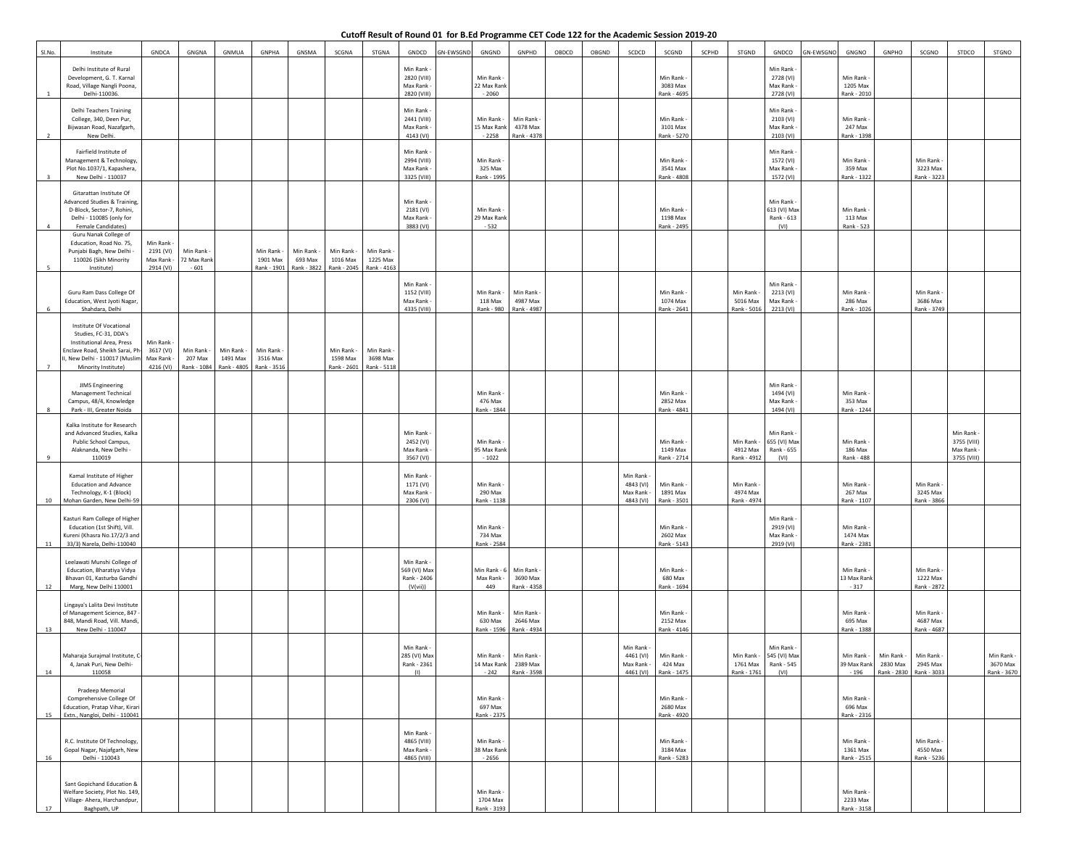## **Cutoff Result of Round 01 for B.Ed Programme CET Code 122 for the Academic Session 2019-20**

| SI.No.   | Institute                                                                                                                                                                   | GNDCA                                          | GNGNA                              | <b>GNMUA</b>                       | GNPHA                               | GNSMA                              | SCGNA                               | STGNA                               | GNDCD                                                | GN-EWSGND | GNGND                                | GNPHD                                           | OBDCD | OBGND | SCDCD                                              | SCGND                                 | SCPHD | STGND                                 | GNDCO                                                        | <b>SN-EWSGNO</b> | GNGNO                                 | GNPHO                                             | SCGNO                                 | STDCO                                                | STGNO                                 |
|----------|-----------------------------------------------------------------------------------------------------------------------------------------------------------------------------|------------------------------------------------|------------------------------------|------------------------------------|-------------------------------------|------------------------------------|-------------------------------------|-------------------------------------|------------------------------------------------------|-----------|--------------------------------------|-------------------------------------------------|-------|-------|----------------------------------------------------|---------------------------------------|-------|---------------------------------------|--------------------------------------------------------------|------------------|---------------------------------------|---------------------------------------------------|---------------------------------------|------------------------------------------------------|---------------------------------------|
|          | Delhi Institute of Rural<br>Development, G. T. Karnal<br>Road, Village Nangli Poona,<br>Delhi-110036.                                                                       |                                                |                                    |                                    |                                     |                                    |                                     |                                     | Min Rank<br>2820 (VIII)<br>Max Rank<br>2820 (VIII)   |           | Min Rank -<br>22 Max Rank<br>$-2060$ |                                                 |       |       |                                                    | Min Rank<br>3083 Max<br>Rank - 4695   |       |                                       | Min Rank<br>2728 (VI)<br>Max Rank<br>2728 (VI)               |                  | Min Rank<br>1205 Max<br>Rank - 2010   |                                                   |                                       |                                                      |                                       |
|          | <b>Delhi Teachers Training</b><br>College, 340, Deen Pur,<br>Bijwasan Road, Nazafgarh,<br>New Delhi.                                                                        |                                                |                                    |                                    |                                     |                                    |                                     |                                     | Min Rank<br>2441 (VIII)<br>Max Rank<br>4143 (VI)     |           | Min Rank -<br>15 Max Rank<br>$-2258$ | Min Rank<br>4378 Max<br>Rank - 4378             |       |       |                                                    | Min Rank<br>3101 Max<br>Rank - 5270   |       |                                       | Min Rank<br>2103 (VI)<br>Max Rank<br>2103 (VI)               |                  | Min Rank<br>247 Max<br>Rank - 1398    |                                                   |                                       |                                                      |                                       |
|          | Fairfield Institute of<br>Management & Technology,<br>Plot No.1037/1, Kapashera,<br>New Delhi - 110037                                                                      |                                                |                                    |                                    |                                     |                                    |                                     |                                     | Min Rank<br>2994 (VIII)<br>Max Rank<br>3325 (VIII)   |           | Min Rank<br>325 Max<br>Rank - 1995   |                                                 |       |       |                                                    | Min Rank<br>3541 Max<br>Rank - 4808   |       |                                       | Min Rank<br>1572 (VI)<br>Max Rank<br>1572 (VI)               |                  | Min Rank<br>359 Max<br>Rank - 1322    |                                                   | Min Rank<br>3223 Max<br>Rank - 3223   |                                                      |                                       |
| $\Delta$ | Gitarattan Institute Of<br>Advanced Studies & Training,<br>D-Block, Sector-7, Rohini,<br>Delhi - 110085 (only for<br>Female Candidates)                                     |                                                |                                    |                                    |                                     |                                    |                                     |                                     | Min Rank<br>2181 (VI)<br>Max Rank<br>3883 (VI)       |           | Min Rank<br>29 Max Rank<br>$-532$    |                                                 |       |       |                                                    | Min Rank<br>1198 Max<br>Rank - 2495   |       |                                       | Min Rank<br>613 (VI) Ma<br>Rank - 613<br>(VI)                |                  | Min Rank<br>113 Max<br>Rank - 523     |                                                   |                                       |                                                      |                                       |
|          | Guru Nanak College of<br>Education, Road No. 75,<br>Punjabi Bagh, New Delhi<br>110026 (Sikh Minority<br>Institute)                                                          | Min Rank<br>2191 (VI)<br>Max Rank<br>2914 (VI) | Min Rank<br>72 Max Rank<br>$-601$  |                                    | Min Rank<br>1901 Max<br>Rank - 1901 | Min Rank<br>693 Max<br>Rank - 3822 | Min Rank<br>1016 Max<br>Rank - 2045 | Min Rank<br>1225 Max<br>Rank - 4163 |                                                      |           |                                      |                                                 |       |       |                                                    |                                       |       |                                       |                                                              |                  |                                       |                                                   |                                       |                                                      |                                       |
|          | Guru Ram Dass College Of<br>Education, West Jyoti Nagar<br>Shahdara, Delhi                                                                                                  |                                                |                                    |                                    |                                     |                                    |                                     |                                     | Min Rank<br>1152 (VIII)<br>Max Rank<br>4335 (VIII)   |           | Min Rank -<br>118 Max<br>Rank - 980  | Min Rank<br>4987 Max<br>Rank - 4987             |       |       |                                                    | Min Rank<br>1074 Max<br>Rank - 2641   |       | Min Rank<br>5016 Max<br>Rank - 5016   | Min Rank<br>2213 (VI)<br>Max Rank<br>2213 (VI)               |                  | Min Rank<br>286 Max<br>Rank - 1026    |                                                   | Min Rank<br>3686 Max<br>Rank - 3749   |                                                      |                                       |
|          | Institute Of Vocational<br>Studies, FC-31, DDA's<br><b>Institutional Area, Press</b><br>inclave Road, Sheikh Sarai, Ph<br>New Delhi - 110017 (Muslin<br>Minority Institute) | Min Rank<br>3617 (VI)<br>Max Rank<br>4216 (VI) | Min Rank<br>207 Max<br>Rank - 1084 | Min Rank<br>1491 Max<br>ank - 4805 | Min Rank<br>3516 Max<br>Rank - 3516 |                                    | Min Rank<br>1598 Max<br>Rank - 2601 | Min Rank<br>3698 Max<br>Rank - 5118 |                                                      |           |                                      |                                                 |       |       |                                                    |                                       |       |                                       |                                                              |                  |                                       |                                                   |                                       |                                                      |                                       |
|          | JIMS Engineering<br>Management Technical<br>Campus, 48/4, Knowledge<br>Park - III, Greater Noida                                                                            |                                                |                                    |                                    |                                     |                                    |                                     |                                     |                                                      |           | Min Rank<br>476 Max<br>Rank - 1844   |                                                 |       |       |                                                    | Min Rank<br>2852 Max<br>Rank - 4841   |       |                                       | Min Rank<br>1494 (VI)<br>Max Rank<br>1494 (VI)               |                  | Min Rank<br>353 Max<br>Rank - 1244    |                                                   |                                       |                                                      |                                       |
|          | Kalka Institute for Research<br>and Advanced Studies, Kalka<br>Public School Campus,<br>Alaknanda, New Delhi -<br>110019                                                    |                                                |                                    |                                    |                                     |                                    |                                     |                                     | Min Rank<br>2452 (VI)<br>Max Rank<br>3567 (VI)       |           | Min Rank<br>95 Max Rank<br>$-1022$   |                                                 |       |       |                                                    | Min Rank<br>1149 Max<br>Rank - 2714   |       | Min Rank -<br>4912 Max<br>Rank - 4912 | Min Rank<br>655 (VI) Max<br>Rank - 655<br>(VI)               |                  | Min Rank -<br>186 Max<br>Rank - 488   |                                                   |                                       | Min Rank -<br>3755 (VIII)<br>Max Rank<br>3755 (VIII) |                                       |
| 10       | Kamal Institute of Higher<br><b>Education and Advance</b><br>Technology, K-1 (Block)<br>Mohan Garden, New Delhi-59                                                          |                                                |                                    |                                    |                                     |                                    |                                     |                                     | Min Rank<br>1171 (VI)<br>Max Rank<br>2306 (VI)       |           | Min Rank<br>290 Max<br>Rank - 1138   |                                                 |       |       | Min Rank<br>4843 (VI)<br>Max Rank<br>4843 (VI)     | Min Rank<br>1891 Max<br>Rank - 3501   |       | Min Rank<br>4974 Max<br>Rank - 4974   |                                                              |                  | Min Rank<br>267 Max<br>Rank - 1107    |                                                   | Min Rank<br>3245 Max<br>Rank - 3866   |                                                      |                                       |
| 11       | Kasturi Ram College of Higher<br>Education (1st Shift), Vill.<br>Kureni (Khasra No.17/2/3 and<br>33/3) Narela, Delhi-110040                                                 |                                                |                                    |                                    |                                     |                                    |                                     |                                     |                                                      |           | Min Rank<br>734 Max<br>Rank - 2584   |                                                 |       |       |                                                    | Min Rank<br>2602 Max<br>Rank - 5143   |       |                                       | Min Rank<br>2919 (VI)<br>Max Rank<br>2919 (VI)               |                  | Min Rank<br>1474 Max<br>Rank - 2381   |                                                   |                                       |                                                      |                                       |
| 12       | Leelawati Munshi College of<br>Education, Bharatiya Vidya<br>Bhavan 01, Kasturba Gandhi<br>Marg, New Delhi 110001                                                           |                                                |                                    |                                    |                                     |                                    |                                     |                                     | Min Rank<br>569 (VI) Max<br>Rank - 2406<br>(V(vii))  |           | Min Rank - 6<br>Max Rank<br>449      | Min Rank<br>3690 Max<br>Rank - 4358             |       |       |                                                    | Min Rank<br>680 Max<br>Rank - 1694    |       |                                       |                                                              |                  | Min Rank<br>13 Max Rank<br>$-317$     |                                                   | Min Rank<br>1222 Max<br>Rank - 2872   |                                                      |                                       |
| 13       | Lingaya's Lalita Devi Institute<br>of Management Science, 847<br>848, Mandi Road, Vill. Mandi<br>New Delhi - 110047                                                         |                                                |                                    |                                    |                                     |                                    |                                     |                                     |                                                      |           | Min Rank -<br>630 Max<br>Rank - 1596 | Min Rank<br>2646 Max<br>Rank - 4934             |       |       |                                                    | Min Rank<br>2152 Max<br>Rank - 4146   |       |                                       |                                                              |                  | Min Rank<br>695 Max<br>Rank - 1388    |                                                   | Min Rank<br>4687 Max<br>Rank - 4687   |                                                      |                                       |
| 14       | faharaja Surajmal Institute, (<br>4, Janak Puri, New Delhi-<br>110058                                                                                                       |                                                |                                    |                                    |                                     |                                    |                                     |                                     | Min Rank -<br>285 (VI) Max<br>Rank - 2361<br>(1)     |           | Min Rank -<br>$-242$                 | Min Rank<br>14 Max Rank 2389 Max<br>Rank - 3598 |       |       | Min Rank -<br>4461 (VI)<br>Max Rank -<br>4461 (VI) | Min Rank<br>424 Max<br>Rank - 1475    |       | 1761 Max<br>Rank - 1761               | Min Rank -<br>Min Rank - 1545 (VI) Max<br>Rank - 545<br>(VI) |                  | Min Rank -<br>$-196$                  | Min Rank -<br>39 Max Rank 2830 Max<br>Rank - 2830 | Min Rank<br>2945 Max<br>Rank - 3033   |                                                      | Min Rank -<br>3670 Max<br>Rank - 3670 |
| 15       | Pradeep Memorial<br>Comprehensive College Of<br>Education, Pratap Vihar, Kirar<br>Extn., Nangloi, Delhi - 110041                                                            |                                                |                                    |                                    |                                     |                                    |                                     |                                     |                                                      |           | Min Rank -<br>697 Max<br>Rank - 2375 |                                                 |       |       |                                                    | Min Rank -<br>2680 Max<br>Rank - 4920 |       |                                       |                                                              |                  | Min Rank<br>696 Max<br>Rank - 2316    |                                                   |                                       |                                                      |                                       |
| 16       | R.C. Institute Of Technology,<br>Gopal Nagar, Najafgarh, New<br>Delhi - 110043                                                                                              |                                                |                                    |                                    |                                     |                                    |                                     |                                     | Min Rank -<br>4865 (VIII)<br>Max Rank<br>4865 (VIII) |           | Min Rank -<br>38 Max Rank<br>$-2656$ |                                                 |       |       |                                                    | Min Rank<br>3184 Max<br>Rank - 5283   |       |                                       |                                                              |                  | Min Rank<br>1361 Max<br>Rank - 2515   |                                                   | Min Rank -<br>4550 Max<br>Rank - 5236 |                                                      |                                       |
| 17       | Sant Gopichand Education &<br>Welfare Society, Plot No. 149<br>Village- Ahera, Harchandpur,<br>Baghpath, UP                                                                 |                                                |                                    |                                    |                                     |                                    |                                     |                                     |                                                      |           | Min Rank<br>1704 Max<br>Rank - 3193  |                                                 |       |       |                                                    |                                       |       |                                       |                                                              |                  | Min Rank -<br>2233 Max<br>Rank - 3158 |                                                   |                                       |                                                      |                                       |